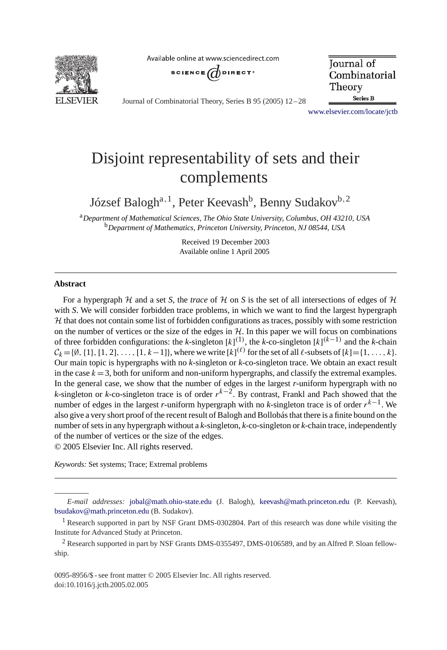

Available online at www.sciencedirect.com



Journal of Combinatorial Theory **Series B** 

Journal of Combinatorial Theory, Series B 95 (2005) 12 – 28

[www.elsevier.com/locate/jctb](http://www.elsevier.com/locate/jctb)

# Disjoint representability of sets and their complements

József Balogh<sup>a, 1</sup>, Peter Keevash<sup>b</sup>, Benny Sudakov<sup>b, 2</sup>

<sup>a</sup>*Department of Mathematical Sciences, The Ohio State University, Columbus, OH 43210, USA* <sup>b</sup>*Department of Mathematics, Princeton University, Princeton, NJ 08544, USA*

> Received 19 December 2003 Available online 1 April 2005

## **Abstract**

For a hypergraph  $H$  and a set *S*, the *trace* of  $H$  on *S* is the set of all intersections of edges of  $H$ with *S*. We will consider forbidden trace problems, in which we want to find the largest hypergraph  $H$  that does not contain some list of forbidden configurations as traces, possibly with some restriction on the number of vertices or the size of the edges in  $H$ . In this paper we will focus on combinations of three forbidden configurations: the *k*-singleton  $[k]^{(1)}$ , the *k*-co-singleton  $[k]^{(k-1)}$  and the *k*-chain  $C_k = \{\emptyset, \{1\}, [1, 2], \ldots, [1, k-1]\}$ , where we write  $[k]^{(\ell)}$  for the set of all  $\ell$ -subsets of  $[k] = \{1, \ldots, k\}$ . Our main topic is hypergraphs with no *k*-singleton or *k*-co-singleton trace.We obtain an exact result in the case  $k = 3$ , both for uniform and non-uniform hypergraphs, and classify the extremal examples. In the general case, we show that the number of edges in the largest *r*-uniform hypergraph with no *k*-singleton or *k*-co-singleton trace is of order  $r^{k-2}$ . By contrast, Frankl and Pach showed that the number of edges in the largest *r*-uniform hypergraph with no *k*-singleton trace is of order  $r^{k-1}$ . We also give a very short proof of the recent result of Balogh and Bollobás that there is a finite bound on the number of sets in any hypergraph without a *k*-singleton, *k*-co-singleton or *k*-chain trace, independently of the number of vertices or the size of the edges.

© 2005 Elsevier Inc.All rights reserved.

*Keywords:* Set systems; Trace; Extremal problems

*E-mail addresses:* [jobal@math.ohio-state.edu](mailto:jobal@math.ohio-state.edu) (J.Balogh), [keevash@math.princeton.edu](mailto:keevash@math.princeton.edu) (P.Keevash), [bsudakov@math.princeton.edu](mailto:bsudakov@math.princeton.edu) (B.Sudakov).

<sup>&</sup>lt;sup>1</sup> Research supported in part by NSF Grant DMS-0302804. Part of this research was done while visiting the Institute for Advanced Study at Princeton.

<sup>2</sup> Research supported in part by NSF Grants DMS-0355497, DMS-0106589, and by an Alfred P.Sloan fellowship.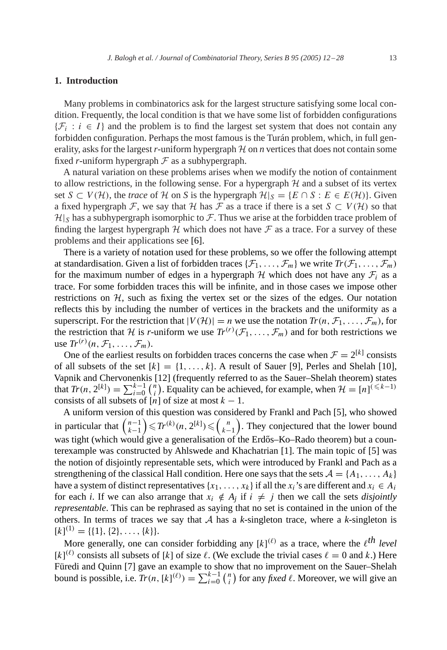# **1. Introduction**

Many problems in combinatorics ask for the largest structure satisfying some local condition.Frequently, the local condition is that we have some list of forbidden configurations  $\{\mathcal{F}_i : i \in I\}$  and the problem is to find the largest set system that does not contain any forbidden configuration. Perhaps the most famous is the Turán problem, which, in full generality, asks for the largest *r*-uniform hypergraph H on *n* vertices that does not contain some fixed *r*-uniform hypergraph  $F$  as a subhypergraph.

A natural variation on these problems arises when we modify the notion of containment to allow restrictions, in the following sense. For a hypergraph  $H$  and a subset of its vertex set  $S \subset V(H)$ , the *trace* of H on S is the hypergraph  $H|_S = \{E \cap S : E \in E(H)\}\$ . Given a fixed hypergraph F, we say that H has F as a trace if there is a set  $S \subset V(H)$  so that  $\mathcal{H}|_S$  has a subhypergraph isomorphic to F. Thus we arise at the forbidden trace problem of finding the largest hypergraph  $H$  which does not have  $F$  as a trace. For a survey of these problems and their applications see [\[6\].](#page-15-0)

There is a variety of notation used for these problems, so we offer the following attempt at standardisation. Given a list of forbidden traces  $\{\mathcal{F}_1,\ldots,\mathcal{F}_m\}$  we write  $Tr(\mathcal{F}_1,\ldots,\mathcal{F}_m)$ for the maximum number of edges in a hypergraph H which does not have any  $\mathcal{F}_i$  as a trace.For some forbidden traces this will be infinite, and in those cases we impose other restrictions on  $H$ , such as fixing the vertex set or the sizes of the edges. Our notation reflects this by including the number of vertices in the brackets and the uniformity as a superscript. For the restriction that  $|V(H)| = n$  we use the notation  $Tr(n, \mathcal{F}_1, \ldots, \mathcal{F}_m)$ , for the restriction that H is *r*-uniform we use  $Tr^{(r)}(\mathcal{F}_1,\ldots,\mathcal{F}_m)$  and for both restrictions we use  $Tr^{(r)}(n, \mathcal{F}_1, \ldots, \mathcal{F}_m)$ .

One of the earliest results on forbidden traces concerns the case when  $\mathcal{F} = 2^{[k]}$  consists of all subsets of the set  $[k]=\{1,\ldots,k\}$ . A result of Sauer [\[9\],](#page-16-0) Perles and Shelah [\[10\],](#page-16-0) Vapnik and Chervonenkis [12] (frequently referred to as the Sauer–Shelah theorem) states that  $Tr(n, 2^{[k]}) = \sum_{i=0}^{k-1} {n \choose i}$ <sup>n</sup><sub>i</sub>). Equality can be achieved, for example, when  $\mathcal{H} = [n]^{(\leq k-1)}$ consists of all subsets of [n] of size at most  $k - 1$ .

A uniform version of this question was considered by Frankl and Pach [\[5\],](#page-15-0) who showed in particular that  $\binom{n-1}{k-1}$  ≤  $Tr^{(k)}(n, 2^{[k]})$  ≤  $\binom{n}{k-1}$ . They conjectured that the lower bound was tight (which would give a generalisation of the Erdős–Ko–Rado theorem) but a counterexample was constructed by Ahlswede and Khachatrian [\[1\].](#page-15-0)The main topic of [\[5\]](#page-15-0) was the notion of disjointly representable sets, which were introduced by Frankl and Pach as a strengthening of the classical Hall condition. Here one says that the sets  $A = \{A_1, \ldots, A_k\}$ have a system of distinct representatives  $\{x_1, \ldots, x_k\}$  if all the  $x_i$ 's are different and  $x_i \in A_i$ for each *i*. If we can also arrange that  $x_i \notin A_j$  if  $i \neq j$  then we call the sets *disjointly representable*.This can be rephrased as saying that no set is contained in the union of the others. In terms of traces we say that  $A$  has a  $k$ -singleton trace, where a  $k$ -singleton is  $[k]^{(1)} = \{\{1\},\{2\},\ldots,\{k\}\}.$ 

More generally, one can consider forbidding any  $[k]^{(\ell)}$  as a trace, where the  $\ell^{th}$  *level*  $[k]^{(\ell)}$  consists all subsets of [k] of size  $\ell$ . (We exclude the trivial cases  $\ell = 0$  and k.) Here Füredi and Quinn [\[7\]](#page-15-0) gave an example to show that no improvement on the Sauer–Shelah bound is possible, i.e.  $Tr(n, [k]^{(\ell)}) = \sum_{i=0}^{k-1} {n \choose i}$  $\binom{n}{i}$  for any *fixed*  $\ell$ . Moreover, we will give an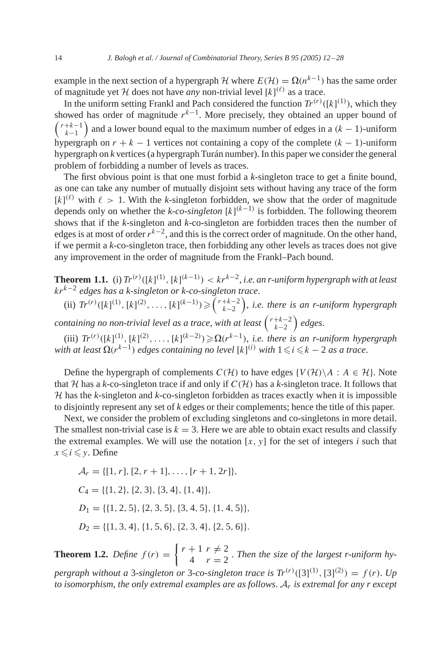<span id="page-2-0"></span>example in the next section of a hypergraph H where  $E(\mathcal{H}) = \Omega(n^{k-1})$  has the same order of magnitude yet H does not have *any* non-trivial level  $[k]^{(\ell)}$  as a trace.

In the uniform setting Frankl and Pach considered the function  $Tr^{(r)}([k]^{(1)})$ , which they showed has order of magnitude  $r^{k-1}$ . More precisely, they obtained an upper bound of  $\binom{r+k-1}{k-1}$  and a lower bound equal to the maximum number of edges in a  $(k-1)$ -uniform hypergraph on  $r + k - 1$  vertices not containing a copy of the complete  $(k - 1)$ -uniform hypergraph on *k* vertices (a hypergraph Turán number).In this paper we consider the general problem of forbidding a number of levels as traces.

The first obvious point is that one must forbid a *k*-singleton trace to get a finite bound, as one can take any number of mutually disjoint sets without having any trace of the form  $[k]^{(\ell)}$  with  $\ell > 1$ . With the *k*-singleton forbidden, we show that the order of magnitude depends only on whether the *k-co-singleton* [k] (k−1) is forbidden.The following theorem shows that if the *k*-singleton and *k*-co-singleton are forbidden traces then the number of edges is at most of order  $r^{k-2}$ , and this is the correct order of magnitude. On the other hand, if we permit a *k*-co-singleton trace, then forbidding any other levels as traces does not give any improvement in the order of magnitude from the Frankl–Pach bound.

**Theorem 1.1.** (i)  $Tr^{(r)}([k]^{(1)}, [k]^{(k-1)}) < kr^{k-2}$ , *i.e. an r-uniform hypergraph with at least* krk−<sup>2</sup> *edges has a k-singleton or k-co-singleton trace*.

(ii)  $Tr^{(r)}([k]^{(1)}, [k]^{(2)}, \ldots, [k]^{(k-1)}) \geq (r+k-2 \choose k-2}, \text{ i.e. there is an r-uniform hypergraph}$ 

*containing no non-trivial level as a trace, with at least*  $\binom{r+k-2}{k-2}$  edges.

(iii)  $Tr^{(r)}([k]^{(1)}, [k]^{(2)}, \ldots, [k]^{(k-2)}) \ge \Omega(r^{k-1}),$  *i.e. there is an r-uniform hypergraph with at least*  $\Omega(r^{k-1})$  *edges containing no level* [k]<sup>(i)</sup> *with*  $1 \leqslant i \leqslant k - 2$  *as a trace.* 

Define the hypergraph of complements  $C(\mathcal{H})$  to have edges  $\{V(\mathcal{H})\backslash A : A \in \mathcal{H}\}\$ . Note that H has a *k*-co-singleton trace if and only if  $C(H)$  has a *k*-singleton trace. It follows that H has the *k*-singleton and *k*-co-singleton forbidden as traces exactly when it is impossible to disjointly represent any set of *k* edges or their complements; hence the title of this paper.

Next, we consider the problem of excluding singletons and co-singletons in more detail. The smallest non-trivial case is  $k = 3$ . Here we are able to obtain exact results and classify the extremal examples. We will use the notation  $[x, y]$  for the set of integers  $i$  such that  $x \leq i \leq y$ . Define

 $\mathcal{A}_r = \{[1, r], [2, r + 1], \ldots, [r + 1, 2r]\},\$  $C_4 = \{\{1, 2\}, \{2, 3\}, \{3, 4\}, \{1, 4\}\},\$  $D_1 = \{ \{1, 2, 5\}, \{2, 3, 5\}, \{3, 4, 5\}, \{1, 4, 5\} \},$  $D_2 = \{ \{1, 3, 4\}, \{1, 5, 6\}, \{2, 3, 4\}, \{2, 5, 6\} \}.$ 

**Theorem 1.2.** *Define*  $f(r) = \begin{cases} r + 1 & r \neq 2 \\ 4 & r = 2 \end{cases}$ . *Then the size of the largest r-uniform hypergraph without a* 3-*singleton or* 3-*co-singleton trace is*  $Tr^{(r)}([3]^{(1)}, [3]^{(2)}) = f(r)$ . *Up to isomorphism*, *the only extremal examples are as follows*. A<sup>r</sup> *is extremal for any r except*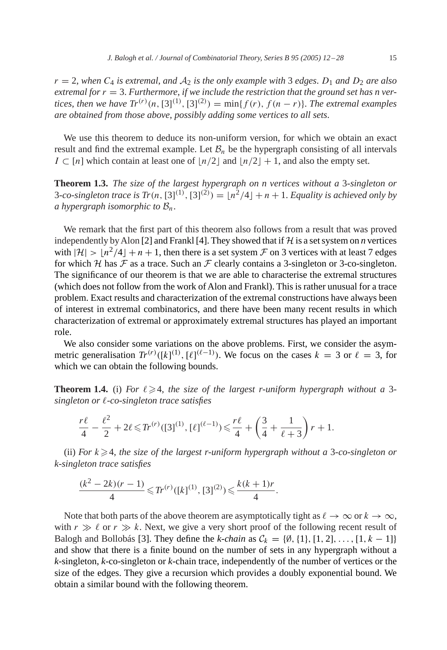<span id="page-3-0"></span> $r = 2$ , when  $C_4$  *is extremal, and*  $A_2$  *is the only example with* 3 *edges.*  $D_1$  *and*  $D_2$  *are also*  $extremal for r = 3. Furthermore, if we include the restriction that the ground set has n ver$ *tices, then we have*  $Tr^{(r)}(n, [3]^{(1)}, [3]^{(2)}) = min{f(r), f(n - r)}$ . *The extremal examples are obtained from those above*, *possibly adding some vertices to all sets*.

We use this theorem to deduce its non-uniform version, for which we obtain an exact result and find the extremal example. Let  $\mathcal{B}_n$  be the hypergraph consisting of all intervals  $I \subset [n]$  which contain at least one of  $\lfloor n/2 \rfloor$  and  $\lfloor n/2 \rfloor + 1$ , and also the empty set.

**Theorem 1.3.** *The size of the largest hypergraph on n vertices without a* 3-*singleton or* 3-co-singleton trace is  $Tr(n, [3]^{(1)}, [3]^{(2)}) = \lfloor n^2/4 \rfloor + n + 1$ . *Equality is achieved only by a* hypergraph isomorphic to  $\mathcal{B}_n$ .

We remark that the first part of this theorem also follows from a result that was proved independently by Alon [\[2\]](#page-15-0) and Frankl [\[4\].](#page-15-0) They showed that if  $H$  is a set system on *n* vertices with  $|\mathcal{H}| > |n^2/4| + n + 1$ , then there is a set system  $\mathcal F$  on 3 vertices with at least 7 edges for which  $H$  has  $F$  as a trace. Such an  $F$  clearly contains a 3-singleton or 3-co-singleton. The significance of our theorem is that we are able to characterise the extremal structures (which does not follow from the work of Alon and Frankl).This is rather unusual for a trace problem.Exact results and characterization of the extremal constructions have always been of interest in extremal combinatorics, and there have been many recent results in which characterization of extremal or approximately extremal structures has played an important role.

We also consider some variations on the above problems. First, we consider the asymmetric generalisation  $Tr^{(r)}([k]^{(1)}, [\ell]^{(\ell-1)})$ . We focus on the cases  $k = 3$  or  $\ell = 3$ , for which we can obtain the following bounds.

**Theorem 1.4.** (i) For  $\ell \geq 4$ , the size of the largest r-uniform hypergraph without a 3*singleton or* -*co-singleton trace satisfies*

$$
\frac{r\ell}{4}-\frac{\ell^2}{2}+2\ell \leqslant Tr^{(r)}([3]^{(1)},\,[\ell]^{(\ell-1)})\leqslant \frac{r\ell}{4}+\left(\frac{3}{4}+\frac{1}{\ell+3}\right)r+1.
$$

(ii) *For* k-4, *the size of the largest r-uniform hypergraph without a* 3-*co-singleton or k-singleton trace satisfies*

$$
\frac{(k^2-2k)(r-1)}{4} \le T r^{(r)}([k]^{(1)},[3]^{(2)}) \le \frac{k(k+1)r}{4}.
$$

Note that both parts of the above theorem are asymptotically tight as  $\ell \to \infty$  or  $k \to \infty$ , with  $r \gg \ell$  or  $r \gg k$ . Next, we give a very short proof of the following recent result of Balogh and Bollobás [\[3\].](#page-15-0) They define the *k*-chain as  $C_k = \{0, \{1\}, [1, 2], \ldots, [1, k-1]\}$ and show that there is a finite bound on the number of sets in any hypergraph without a *k*-singleton, *k*-co-singleton or *k*-chain trace, independently of the number of vertices or the size of the edges.They give a recursion which provides a doubly exponential bound.We obtain a similar bound with the following theorem.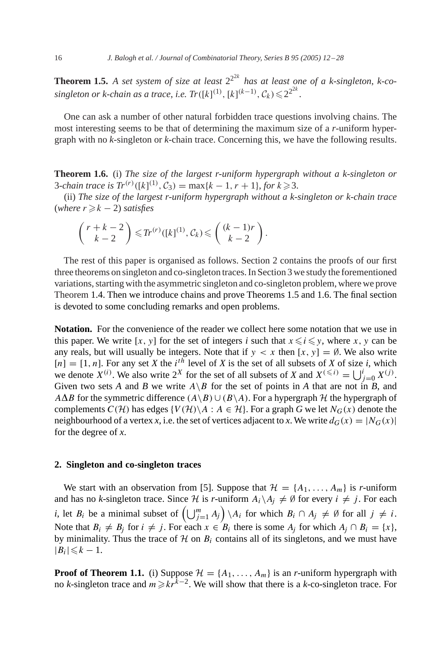<span id="page-4-0"></span>**Theorem 1.5.** A set system of size at least  $2^{2k}$  has at least one of a k-singleton, k-co $singleton$  *or k-chain as a trace, i.e.*  $Tr([k]^{(1)}, [k]^{(k-1)}, C_k) \leq 2^{2^{2k}}$ .

One can ask a number of other natural forbidden trace questions involving chains.The most interesting seems to be that of determining the maximum size of a *r*-uniform hypergraph with no *k*-singleton or *k*-chain trace.Concerning this, we have the following results.

**Theorem 1.6.** (i) *The size of the largest r-uniform hypergraph without a k-singleton or* 3-*chain trace is*  $Tr^{(r)}([k]^{(1)}, C_3) = \max\{k - 1, r + 1\},$  *for*  $k \ge 3$ .

(ii) *The size of the largest r-uniform hypergraph without a k-singleton or k-chain trace*  $(where r \geq k - 2) satisfies$ 

$$
\binom{r+k-2}{k-2} \leqslant Tr^{(r)}([k]^{(1)}, \mathcal{C}_k) \leqslant \binom{(k-1)r}{k-2}.
$$

The rest of this paper is organised as follows. Section 2 contains the proofs of our first three theorems on singleton and co-singleton traces.In Section 3 we study the forementioned variations, starting with the asymmetric singleton and co-singleton problem, where we prove Theorem [1.4.](#page-3-0) Then we introduce chains and prove Theorems [1.5](#page-3-0) and 1.6. The final section is devoted to some concluding remarks and open problems.

**Notation.** For the convenience of the reader we collect here some notation that we use in this paper. We write [x, y] for the set of integers *i* such that  $x \le i \le y$ , where x, y can be any reals, but will usually be integers. Note that if  $y < x$  then  $[x, y] = ∅$ . We also write  $[n] = [1, n]$ . For any set *X* the i<sup>th</sup> level of *X* is the set of all subsets of *X* of size *i*, which we denote  $X^{(i)}$ . We also write  $2^X$  for the set of all subsets of *X* and  $X^{(\leq i)} = \bigcup_{j=0}^{i} X^{(j)}$ . Given two sets *A* and *B* we write  $A \setminus B$  for the set of points in *A* that are not in *B*, and A $\Delta B$  for the symmetric difference  $(A \setminus B) \cup (B \setminus A)$ . For a hypergraph  $H$  the hypergraph of complements  $C(\mathcal{H})$  has edges  $\{V(\mathcal{H}) \setminus A : A \in \mathcal{H}\}\$ . For a graph G we let  $N_G(x)$  denote the neighbourhood of a vertex *x*, i.e. the set of vertices adjacent to *x*. We write  $d_G(x) = |N_G(x)|$ for the degree of *x*.

# **2. Singleton and co-singleton traces**

We start with an observation from [\[5\].](#page-15-0) Suppose that  $\mathcal{H} = \{A_1, \ldots, A_m\}$  is *r*-uniform and has no *k*-singleton trace. Since H is *r*-uniform  $A_i \setminus A_j \neq \emptyset$  for every  $i \neq j$ . For each *i*, let  $B_i$  be a minimal subset of  $\left(\bigcup_{j=1}^m A_j\right) \setminus A_i$  for which  $B_i \cap A_j \neq \emptyset$  for all  $j \neq i$ . Note that  $B_i \neq B_j$  for  $i \neq j$ . For each  $x \in B_i$  there is some  $A_j$  for which  $A_j \cap B_i = \{x\}$ , by minimality. Thus the trace of  $H$  on  $B_i$  contains all of its singletons, and we must have  $|B_i|\leq k-1$ .

**Proof of Theorem [1.1.](#page-2-0)** (i) Suppose  $\mathcal{H} = \{A_1, \ldots, A_m\}$  is an *r*-uniform hypergraph with no *k*-singleton trace and  $m \geq k r^{\tilde{k}-2}$ . We will show that there is a *k*-co-singleton trace. For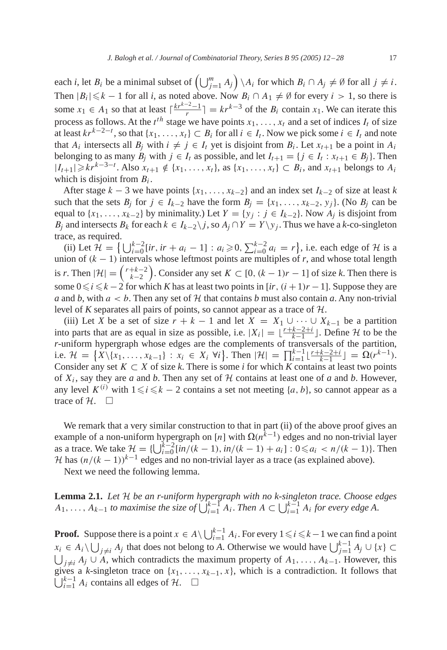<span id="page-5-0"></span>each *i*, let  $B_i$  be a minimal subset of  $\left(\bigcup_{j=1}^m A_j\right) \setminus A_i$  for which  $B_i \cap A_j \neq \emptyset$  for all  $j \neq i$ . Then  $|B_i|\leq k-1$  for all *i*, as noted above. Now  $B_i \cap A_1 \neq \emptyset$  for every  $i > 1$ , so there is some  $x_1 \in A_1$  so that at least  $\lceil \frac{kr^{k-2}-1}{r} \rceil = kr^{k-3}$  of the  $B_i$  contain  $x_1$ . We can iterate this process as follows. At the  $t^{th}$  stage we have points  $x_1, \ldots, x_t$  and a set of indices  $I_t$  of size at least  $kr^{k-2-t}$ , so that  $\{x_1, \ldots, x_t\} \subset B_i$  for all  $i \in I_t$ . Now we pick some  $i \in I_t$  and note that  $A_i$  intersects all  $B_i$  with  $i \neq j \in I_t$  yet is disjoint from  $B_i$ . Let  $x_{t+1}$  be a point in  $A_i$ belonging to as many  $B_j$  with  $j \in I_t$  as possible, and let  $I_{t+1} = \{j \in I_t : x_{t+1} \in B_j\}$ . Then  $|I_{t+1}| \geqslant kr^{k-3-t}$ . Also  $x_{t+1} \notin \{x_1, \ldots, x_t\}$ , as  $\{x_1, \ldots, x_t\} \subset B_i$ , and  $x_{t+1}$  belongs to  $A_i$ which is disjoint from  $B_i$ .

After stage  $k - 3$  we have points  $\{x_1, \ldots, x_{k-2}\}$  and an index set  $I_{k-2}$  of size at least *k* such that the sets  $B_i$  for  $j \in I_{k-2}$  have the form  $B_i = \{x_1, \ldots, x_{k-2}, y_j\}$ . (No  $B_i$  can be equal to  $\{x_1, \ldots, x_{k-2}\}$  by minimality.) Let  $Y = \{y_j : j \in I_{k-2}\}$ . Now  $A_j$  is disjoint from B<sub>j</sub> and intersects B<sub>k</sub> for each  $k \in I_{k-2} \backslash j$ , so  $A_j \cap Y = Y \backslash y_j$ . Thus we have a k-co-singleton trace, as required.

(ii) Let  $\mathcal{H} = \left\{ \bigcup_{i=0}^{k-2} [ir, ir + a_i - 1] : a_i \geq 0, \sum_{i=0}^{k-2} a_i = r \right\}$ , i.e. each edge of  $\mathcal{H}$  is a union of  $(k - 1)$  intervals whose leftmost points are multiples of *r*, and whose total length is *r*. Then  $|\mathcal{H}| = {r+k-2 \choose k-2}$ . Consider any set  $K \subset [0, (k-1)r-1]$  of size *k*. Then there is some  $0 \le i \le k-2$  for which *K* has at least two points in [*ir*,  $(i + 1)r - 1$ ]. Suppose they are *a* and *b*, with  $a < b$ . Then any set of H that contains *b* must also contain *a*. Any non-trivial level of *K* separates all pairs of points, so cannot appear as a trace of H.

(iii) Let *X* be a set of size  $r + k - 1$  and let  $X = X_1 \cup \cdots \cup X_{k-1}$  be a partition into parts that are as equal in size as possible, i.e.  $|X_i| = \lfloor \frac{r+k-2+i}{k-1} \rfloor$ . Define H to be the *r*-uniform hypergraph whose edges are the complements of transversals of the partition, i.e.  $\mathcal{H} = \{X \setminus \{x_1, \ldots, x_{k-1}\} : x_i \in X_i \; \forall i\}.$  Then  $|\mathcal{H}| = \prod_{i=1}^{k-1} \lfloor \frac{r+k-2+i}{k-1} \rfloor = \Omega(r^{k-1}).$ Consider any set  $K \subset X$  of size k. There is some *i* for which K contains at least two points of  $X_i$ , say they are *a* and *b*. Then any set of  $H$  contains at least one of *a* and *b*. However, any level  $K^{(i)}$  with  $1 \le i \le k - 2$  contains a set not meeting {a, b}, so cannot appear as a trace of  $H$ .  $\Box$ 

We remark that a very similar construction to that in part (ii) of the above proof gives an example of a non-uniform hypergraph on [n] with  $\Omega(n^{\bar{k}-1})$  edges and no non-trivial layer as a trace. We take  $\mathcal{H} = \{ \bigcup_{i=0}^{k-2} [in/(k-1), in/(k-1) + a_i] : 0 \leq a_i < n/(k-1) \}$ . Then  $\mathcal{H}$  has  $(n/(k-1))^{k-1}$  edges and no non-trivial layer as a trace (as explained above).

Next we need the following lemma.

**Lemma 2.1.** *Let* H *be an r-uniform hypergraph with no k-singleton trace. Choose edges*  $A_1, \ldots, A_{k-1}$  *to maximise the size of*  $\bigcup_{i=1}^{k-1} A_i$ . *Then*  $A \subset \bigcup_{i=1}^{k-1} A_i$  *for every edge* A.

**Proof.** Suppose there is a point  $x \in A \setminus \bigcup_{i=1}^{k-1} A_i$ . For every  $1 \leq i \leq k-1$  we can find a point  $x_i \in A_i \setminus \bigcup_{j \neq i} A_j$  that does not belong to *A*. Otherwise we would have  $\bigcup_{j=1}^{k-1} A_j \cup \{x\} \subset$  $\bigcup_{j\neq i} A_j \cup A$ , which contradicts the maximum property of  $A_1, \ldots, A_{k-1}$ . However, this  $\bigcup_{i=1}^{k-1} A_i$  contains all edges of  $\mathcal{H}$ .  $\Box$ gives a *k*-singleton trace on  $\{x_1, \ldots, x_{k-1}, x\}$ , which is a contradiction. It follows that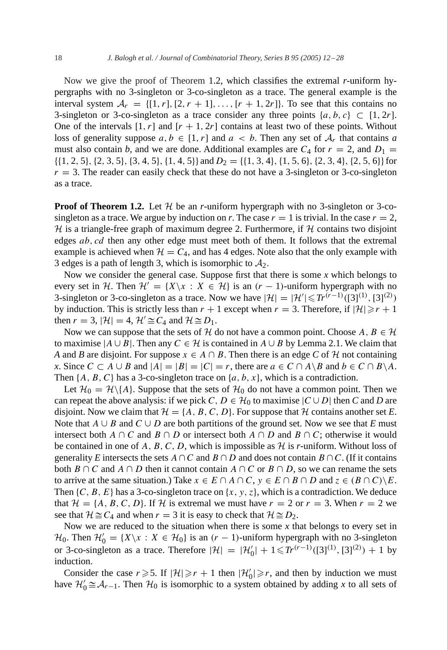Now we give the proof of Theorem [1.2,](#page-2-0) which classifies the extremal *r*-uniform hypergraphs with no 3-singleton or 3-co-singleton as a trace.The general example is the interval system  $A_r = \{ [1, r], [2, r + 1], \ldots, [r + 1, 2r] \}$ . To see that this contains no 3-singleton or 3-co-singleton as a trace consider any three points  $\{a, b, c\} \subset [1, 2r]$ . One of the intervals  $[1, r]$  and  $[r + 1, 2r]$  contains at least two of these points. Without loss of generality suppose  $a, b \in [1, r]$  and  $a < b$ . Then any set of  $A_r$  that contains a must also contain *b*, and we are done. Additional examples are  $C_4$  for  $r = 2$ , and  $D_1 =$  $\{(1, 2, 5), (2, 3, 5), (3, 4, 5), (1, 4, 5)\}\$  and  $D_2 = \{(1, 3, 4), (1, 5, 6), (2, 3, 4), (2, 5, 6)\}\$ for  $r = 3$ . The reader can easily check that these do not have a 3-singleton or 3-co-singleton as a trace.

**Proof of Theorem [1.2.](#page-2-0)** Let  $H$  be an *r*-uniform hypergraph with no 3-singleton or 3-cosingleton as a trace. We argue by induction on *r*. The case  $r = 1$  is trivial. In the case  $r = 2$ , H is a triangle-free graph of maximum degree 2. Furthermore, if  $H$  contains two disjoint edges  $ab, cd$  then any other edge must meet both of them. It follows that the extremal example is achieved when  $H = C_4$ , and has 4 edges. Note also that the only example with 3 edges is a path of length 3, which is isomorphic to  $A_2$ .

Now we consider the general case. Suppose first that there is some  $x$  which belongs to every set in H. Then  $\mathcal{H}' = \{X \setminus x : X \in \mathcal{H}\}\$ is an  $(r - 1)$ -uniform hypergraph with no 3-singleton or 3-co-singleton as a trace. Now we have  $|\mathcal{H}| = |\mathcal{H}'| ≤ Tr^{(r-1)}([3]^{(1)}, [3]^{(2)})$ by induction. This is strictly less than  $r + 1$  except when  $r = 3$ . Therefore, if  $|\mathcal{H}| \ge r + 1$ then  $r = 3$ ,  $|\mathcal{H}| = 4$ ,  $\mathcal{H}' \cong C_4$  and  $\mathcal{H} \cong D_1$ .

Now we can suppose that the sets of H do not have a common point. Choose  $A, B \in \mathcal{H}$ to maximise  $|A \cup B|$ . Then any  $C \in \mathcal{H}$  is contained in  $A \cup B$  by Lemma [2.1.](#page-5-0) We claim that *A* and *B* are disjoint. For suppose  $x \in A \cap B$ . Then there is an edge *C* of *H* not containing *x*. Since  $C \subset A \cup B$  and  $|A| = |B| = |C| = r$ , there are  $a \in C \cap A \setminus B$  and  $b \in C \cap B \setminus A$ . Then  $\{A, B, C\}$  has a 3-co-singleton trace on  $\{a, b, x\}$ , which is a contradiction.

Let  $\mathcal{H}_0 = \mathcal{H}\backslash\{A\}$ . Suppose that the sets of  $\mathcal{H}_0$  do not have a common point. Then we can repeat the above analysis: if we pick C,  $D \in \mathcal{H}_0$  to maximise  $|C \cup D|$  then C and D are disjoint. Now we claim that  $\mathcal{H} = \{A, B, C, D\}$ . For suppose that  $\mathcal{H}$  contains another set *E*. Note that  $A \cup B$  and  $C \cup D$  are both partitions of the ground set. Now we see that *E* must intersect both  $A \cap C$  and  $B \cap D$  or intersect both  $A \cap D$  and  $B \cap C$ ; otherwise it would be contained in one of  $A$ ,  $B$ ,  $C$ ,  $D$ , which is impossible as  $H$  is *r*-uniform. Without loss of generality *E* intersects the sets  $A \cap C$  and  $B \cap D$  and does not contain  $B \cap C$ . (If it contains both B ∩ C and A ∩ D then it cannot contain A ∩ C or B ∩ D, so we can rename the sets to arrive at the same situation.) Take  $x \in E \cap A \cap C$ ,  $y \in E \cap B \cap D$  and  $z \in (B \cap C) \backslash E$ . Then  $\{C, B, E\}$  has a 3-co-singleton trace on  $\{x, y, z\}$ , which is a contradiction. We deduce that  $\mathcal{H} = \{A, B, C, D\}$ . If H is extremal we must have  $r = 2$  or  $r = 3$ . When  $r = 2$  we see that  $\mathcal{H} \cong C_4$  and when  $r = 3$  it is easy to check that  $\mathcal{H} \cong D_2$ .

Now we are reduced to the situation when there is some *x* that belongs to every set in  $\mathcal{H}_0$ . Then  $\mathcal{H}'_0 = \{X \setminus x : X \in \mathcal{H}_0\}$  is an  $(r - 1)$ -uniform hypergraph with no 3-singleton or 3-co-singleton as a trace. Therefore  $|\mathcal{H}| = |\mathcal{H}'_0| + 1 \le T r^{(r-1)}([3]^{(1)}, [3]^{(2)}) + 1$  by induction.

Consider the case  $r \ge 5$ . If  $|\mathcal{H}| \ge r + 1$  then  $|\mathcal{H}'_0| \ge r$ , and then by induction we must have  $\mathcal{H}'_0 \cong \mathcal{A}_{r-1}$ . Then  $\mathcal{H}_0$  is isomorphic to a system obtained by adding *x* to all sets of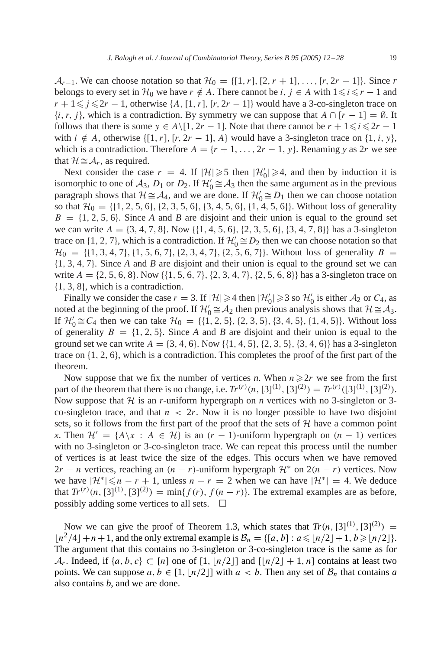$A_{r-1}$ . We can choose notation so that  $\mathcal{H}_0 = \{[1, r], [2, r + 1], \ldots, [r, 2r - 1]\}$ . Since *r* belongs to every set in  $\mathcal{H}_0$  we have  $r \notin A$ . There cannot be  $i, j \in A$  with  $1 \le i \le r - 1$  and  $r + 1 \leq j \leq 2r - 1$ , otherwise {A, [1, r], [r, 2r – 1} would have a 3-co-singleton trace on  $\{i, r, j\}$ , which is a contradiction. By symmetry we can suppose that  $A \cap [r-1]=\emptyset$ . It follows that there is some  $y \in A\setminus [1, 2r - 1]$ . Note that there cannot be  $r + 1 \le i \le 2r - 1$ with  $i \notin A$ , otherwise  $\{[1, r], [r, 2r - 1], A\}$  would have a 3-singleton trace on  $\{1, i, y\}$ , which is a contradiction. Therefore  $A = \{r+1, \ldots, 2r-1, y\}$ . Renaming *y* as 2*r* we see that  $\mathcal{H} \cong \mathcal{A}_r$ , as required.

Next consider the case  $r = 4$ . If  $|\mathcal{H}| \ge 5$  then  $|\mathcal{H}'_0| \ge 4$ , and then by induction it is isomorphic to one of  $A_3$ ,  $D_1$  or  $D_2$ . If  $\mathcal{H}'_0 \cong A_3$  then the same argument as in the previous paragraph shows that  $\mathcal{H} \cong \mathcal{A}_4$ , and we are done. If  $\mathcal{H}'_0 \cong D_1$  then we can choose notation so that  $\mathcal{H}_0 = \{ \{1, 2, 5, 6\}, \{2, 3, 5, 6\}, \{3, 4, 5, 6\}, \{1, 4, 5, 6\} \}$ . Without loss of generality  $B = \{1, 2, 5, 6\}$ . Since *A* and *B* are disjoint and their union is equal to the ground set we can write  $A = \{3, 4, 7, 8\}$ . Now  $\{\{1, 4, 5, 6\}, \{2, 3, 5, 6\}, \{3, 4, 7, 8\}\}\$  has a 3-singleton trace on {1, 2, 7}, which is a contradiction. If  $\mathcal{H}'_0 \cong D_2$  then we can choose notation so that  $\mathcal{H}_0 = \{ \{1, 3, 4, 7\}, \{1, 5, 6, 7\}, \{2, 3, 4, 7\}, \{2, 5, 6, 7\} \}$ . Without loss of generality  $B =$ {1, 3, 4, 7}.Since *A* and *B* are disjoint and their union is equal to the ground set we can write  $A = \{2, 5, 6, 8\}$ . Now  $\{\{1, 5, 6, 7\}, \{2, 3, 4, 7\}, \{2, 5, 6, 8\}\}$  has a 3-singleton trace on {1, 3, 8}, which is a contradiction.

Finally we consider the case  $r = 3$ . If  $|\mathcal{H}| \ge 4$  then  $|\mathcal{H}'_0| \ge 3$  so  $\mathcal{H}'_0$  is either  $\mathcal{A}_2$  or  $C_4$ , as noted at the beginning of the proof. If  $\mathcal{H}'_0 \cong \mathcal{A}_2$  then previous analysis shows that  $\mathcal{H} \cong \mathcal{A}_3$ . If  $\mathcal{H}'_0 \cong C_4$  then we can take  $\mathcal{H}_0 = \{\{1, 2, 5\}, \{2, 3, 5\}, \{3, 4, 5\}, \{1, 4, 5\}\}\.$  Without loss of generality  $B = \{1, 2, 5\}$ . Since *A* and *B* are disjoint and their union is equal to the ground set we can write  $A = \{3, 4, 6\}$ . Now  $\{\{1, 4, 5\}, \{2, 3, 5\}, \{3, 4, 6\}\}\$  has a 3-singleton trace on  $\{1, 2, 6\}$ , which is a contradiction. This completes the proof of the first part of the theorem.

Now suppose that we fix the number of vertices *n*. When  $n \ge 2r$  we see from the first part of the theorem that there is no change, i.e.  $Tr^{(r)}(n, [3]^{(1)}, [3]^{(2)}) = Tr^{(r)}([3]^{(1)}, [3]^{(2)})$ . Now suppose that  $H$  is an *r*-uniform hypergraph on *n* vertices with no 3-singleton or 3co-singleton trace, and that  $n < 2r$ . Now it is no longer possible to have two disjoint sets, so it follows from the first part of the proof that the sets of  $H$  have a common point *x*. Then  $\mathcal{H}' = \{A \setminus x : A \in \mathcal{H}\}\$ is an  $(r - 1)$ -uniform hypergraph on  $(n - 1)$  vertices with no 3-singleton or 3-co-singleton trace. We can repeat this process until the number of vertices is at least twice the size of the edges.This occurs when we have removed  $2r - n$  vertices, reaching an  $(n - r)$ -uniform hypergraph  $\mathcal{H}^*$  on  $2(n - r)$  vertices. Now we have  $|\mathcal{H}^*| \leq n - r + 1$ , unless  $n - r = 2$  when we can have  $|\mathcal{H}^*| = 4$ . We deduce that  $Tr^{(r)}(n, [3]^{(1)}, [3]^{(2)}) = \min\{f(r), f(n-r)\}\$ . The extremal examples are as before, possibly adding some vertices to all sets.  $\Box$ 

Now we can give the proof of Theorem [1.3,](#page-3-0) which states that  $Tr(n, [3]^{(1)}, [3]^{(2)}) =$  $\lfloor n^2/4\rfloor + n + 1$ , and the only extremal example is  $\mathcal{B}_n = \{ [a, b] : a \leqslant \lfloor n/2 \rfloor + 1, b \geqslant \lfloor n/2 \rfloor \}.$ The argument that this contains no 3-singleton or 3-co-singleton trace is the same as for  $\mathcal{A}_r$ . Indeed, if  $\{a, b, c\} \subset [n]$  one of  $[1, \lfloor n/2 \rfloor]$  and  $[\lfloor n/2 \rfloor + 1, n]$  contains at least two points. We can suppose  $a, b \in [1, \lfloor n/2 \rfloor]$  with  $a < b$ . Then any set of  $\mathcal{B}_n$  that contains a also contains *b*, and we are done.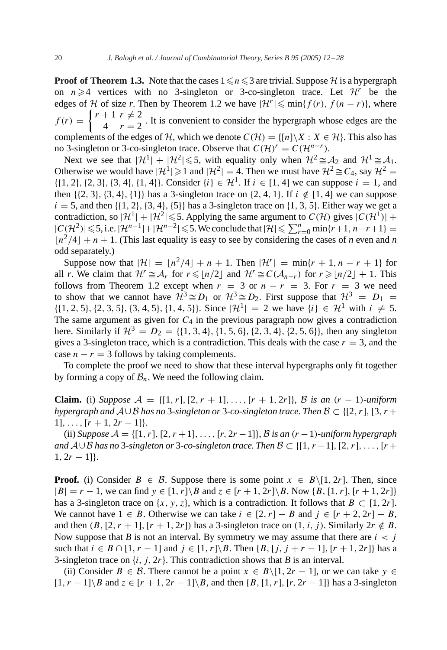**Proof of Theorem [1.3.](#page-3-0)** Note that the cases  $1 \le n \le 3$  are trivial. Suppose H is a hypergraph on  $n \ge 4$  vertices with no 3-singleton or 3-co-singleton trace. Let  $\mathcal{H}^r$  be the edges of H of size *r*. Then by Theorem [1.2](#page-2-0) we have  $|\mathcal{H}| \leq \min\{f(r), f(n-r)\}\)$ , where  $f(r) = \begin{cases} r + 1 & r \neq 2 \\ 4 & r = 2 \end{cases}$ . It is convenient to consider the hypergraph whose edges are the complements of the edges of H, which we denote  $C(\mathcal{H}) = \{ [n] \setminus X : X \in \mathcal{H} \}$ . This also has no 3-singleton or 3-co-singleton trace. Observe that  $C(\mathcal{H})^r = C(\mathcal{H}^{n-r})$ .

Next we see that  $|\mathcal{H}^1| + |\mathcal{H}^2| \le 5$ , with equality only when  $\mathcal{H}^2 \cong \mathcal{A}_2$  and  $\mathcal{H}^1 \cong \mathcal{A}_1$ . Otherwise we would have  $|\mathcal{H}^1| \ge 1$  and  $|\mathcal{H}^2| = 4$ . Then we must have  $\mathcal{H}^2 \cong C_4$ , say  $\mathcal{H}^2 =$  $\{ \{1, 2\}, \{2, 3\}, \{3, 4\}, \{1, 4\} \}$ . Consider  $\{i\} \in \mathcal{H}^1$ . If  $i \in [1, 4]$  we can suppose  $i = 1$ , and then  $\{2, 3\}, \{3, 4\}, \{1\}\$  has a 3-singleton trace on  $\{2, 4, 1\}$ . If  $i \notin [1, 4]$  we can suppose  $i = 5$ , and then {{1, 2}, {3, 4}, {5}} has a 3-singleton trace on {1, 3, 5}. Either way we get a contradiction, so  $|\mathcal{H}^1| + |\mathcal{H}^2| \leq 5$ . Applying the same argument to  $C(\mathcal{H})$  gives  $|C(\mathcal{H}^1)| +$  $|C(\mathcal{H}^2)| \leqslant 5$ , i.e.  $|\mathcal{H}^{n-1}|+|\mathcal{H}^{n-2}| \leqslant 5$ . We conclude that  $|\mathcal{H}| \leqslant \sum_{r=0}^n \min\{r+1, n-r+1\}$  $\lfloor n^2/4 \rfloor + n + 1$ . (This last equality is easy to see by considering the cases of *n* even and *n* odd separately.)

Suppose now that  $|\mathcal{H}| = |n^2/4 + n + 1$ . Then  $|\mathcal{H}| = \min\{r + 1, n - r + 1\}$  for all *r*. We claim that  $\mathcal{H}^r \cong \mathcal{A}_r$  for  $r \leq n/2$  and  $\mathcal{H}^r \cong C(\mathcal{A}_{n-r})$  for  $r \geq n/2 + 1$ . This follows from Theorem [1.2](#page-2-0) except when  $r = 3$  or  $n - r = 3$ . For  $r = 3$  we need to show that we cannot have  $\mathcal{H}^3 \cong D_1$  or  $\mathcal{H}^3 \cong D_2$ . First suppose that  $\mathcal{H}^3 = D_1 =$  $\{ \{1, 2, 5\}, \{2, 3, 5\}, \{3, 4, 5\}, \{1, 4, 5\} \}$ . Since  $|\mathcal{H}^1| = 2$  we have  $\{i\} \in \mathcal{H}^1$  with  $i \neq 5$ . The same argument as given for  $C_4$  in the previous paragraph now gives a contradiction here. Similarly if  $\mathcal{H}^3 = D_2 = \{ \{1, 3, 4\}, \{1, 5, 6\}, \{2, 3, 4\}, \{2, 5, 6\} \}$ , then any singleton gives a 3-singleton trace, which is a contradiction. This deals with the case  $r = 3$ , and the case  $n - r = 3$  follows by taking complements.

To complete the proof we need to show that these interval hypergraphs only fit together by forming a copy of  $\mathcal{B}_n$ . We need the following claim.

**Claim.** (i) *Suppose*  $A = \{[1, r], [2, r + 1], \ldots, [r + 1, 2r]\}, \mathcal{B}$  *is an*  $(r - 1)$ *-uniform hypergraph and* A∪B *has no* 3-*singleton or* 3-*co-singleton trace. Then* B ⊂ {[2, r], [3, r +  $1], \ldots, [r + 1, 2r - 1].$ 

(ii) *Suppose* A = {[1, r], [2, r +1],..., [r, 2r −1]}, B *is an* (r −1)-*uniform hypergraph and* A∪B *has no* 3-*singleton or* 3-*co-singleton trace. Then* B ⊂ {[1, r −1], [2, r],...,[r +  $1, 2r - 1$ ].

**Proof.** (i) Consider  $B \in \mathcal{B}$ . Suppose there is some point  $x \in B\setminus[1, 2r]$ . Then, since  $|B| = r - 1$ , we can find  $y \in [1, r] \setminus B$  and  $z \in [r + 1, 2r] \setminus B$ . Now  $\{B, [1, r], [r + 1, 2r]\}$ has a 3-singleton trace on  $\{x, y, z\}$ , which is a contradiction. It follows that  $B \subset [1, 2r]$ . We cannot have  $1 \in B$ . Otherwise we can take  $i \in [2, r] - B$  and  $j \in [r + 2, 2r] - B$ , and then  $(B, [2, r + 1], [r + 1, 2r])$  has a 3-singleton trace on  $(1, i, j)$ . Similarly  $2r \notin B$ . Now suppose that *B* is not an interval. By symmetry we may assume that there are  $i < j$ such that  $i \in B \cap [1, r-1]$  and  $j \in [1, r] \setminus B$ . Then  $\{B, [j, j + r - 1], [r + 1, 2r]\}$  has a 3-singleton trace on  $\{i, j, 2r\}$ . This contradiction shows that *B* is an interval.

(ii) Consider  $B \in \mathcal{B}$ . There cannot be a point  $x \in B\setminus [1, 2r - 1]$ , or we can take  $y \in$  $[1, r - 1]$ \B and  $z \in [r + 1, 2r - 1]$ \B, and then  $\{B, [1, r], [r, 2r - 1]\}$  has a 3-singleton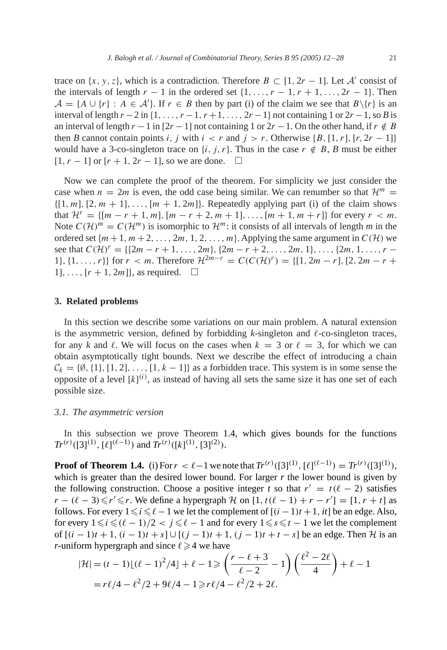trace on  $\{x, y, z\}$ , which is a contradiction. Therefore  $B \subset [1, 2r - 1]$ . Let A' consist of the intervals of length  $r - 1$  in the ordered set  $\{1, \ldots, r - 1, r + 1, \ldots, 2r - 1\}$ . Then  $A = \{A \cup \{r\} : A \in \mathcal{A}\}\.$  If  $r \in B$  then by part (i) of the claim we see that  $B \setminus \{r\}$  is an interval of length  $r - 2$  in  $\{1, \ldots, r - 1, r + 1, \ldots, 2r - 1\}$  not containing 1 or  $2r - 1$ , so *B* is an interval of length  $r - 1$  in  $[2r - 1]$  not containing 1 or  $2r - 1$ . On the other hand, if  $r \notin B$ then *B* cannot contain points i, j with  $i < r$  and  $j > r$ . Otherwise  ${B, [1, r], [r, 2r - 1]}$ would have a 3-co-singleton trace on  $\{i, j, r\}$ . Thus in the case  $r \notin B$ , *B* must be either  $[1, r - 1]$  or  $[r + 1, 2r - 1]$ , so we are done.  $\square$ 

Now we can complete the proof of the theorem.For simplicity we just consider the case when  $n = 2m$  is even, the odd case being similar. We can renumber so that  $\mathcal{H}^m =$  $\{[1, m], [2, m + 1], \ldots, [m + 1, 2m]\}$ . Repeatedly applying part (i) of the claim shows that  $\mathcal{H}^r = \{ [m - r + 1, m], [m - r + 2, m + 1], \ldots, [m + 1, m + r] \}$  for every  $r < m$ . Note  $C(\mathcal{H})^m = C(\mathcal{H}^m)$  is isomorphic to  $\mathcal{H}^m$ : it consists of all intervals of length *m* in the ordered set  $\{m+1, m+2, \ldots, 2m, 1, 2, \ldots, m\}$ . Applying the same argument in  $C(\mathcal{H})$  we see that  $C(\mathcal{H})^r = \{\{2m - r + 1, \ldots, 2m\}, \{2m - r + 2, \ldots, 2m, 1\}, \ldots, \{2m, 1, \ldots, r - r\} \}$ 1},  $\{1,\ldots,r\}$  for  $r < m$ . Therefore  $\mathcal{H}^{2m-r} = C(C(\mathcal{H})^r) = \{[1, 2m - r], [2, 2m - r +$  $1], \ldots, [r + 1, 2m]$ , as required.  $\square$ 

# **3. Related problems**

In this section we describe some variations on our main problem.A natural extension is the asymmetric version, defined by forbidding  $k$ -singleton and  $\ell$ -co-singleton traces, for any k and l. We will focus on the cases when  $k = 3$  or  $\ell = 3$ , for which we can obtain asymptotically tight bounds. Next we describe the effect of introducing a chain  $C_k = \{\emptyset, \{1\}, [1, 2], \ldots, [1, k-1]\}$  as a forbidden trace. This system is in some sense the opposite of a level  $[k]^{(i)}$ , as instead of having all sets the same size it has one set of each possible size.

#### *3.1. The asymmetric version*

In this subsection we prove Theorem [1.4,](#page-3-0) which gives bounds for the functions  $Tr^{(r)}([3]^{(1)}, [\ell]^{(\ell-1)})$  and  $Tr^{(r)}([k]^{(1)}, [3]^{(2)})$ .

**Proof of Theorem [1.4.](#page-3-0)** (i) For  $r < \ell - 1$  we note that  $Tr^{(r)}([3]^{(1)}, [\ell]^{(\ell-1)}) = Tr^{(r)}([3]^{(1)}),$ which is greater than the desired lower bound. For larger  $r$  the lower bound is given by the following construction. Choose a positive integer *t* so that  $r' = t(\ell - 2)$  satisfies  $r - (\ell - 3) \le r' \le r$ . We define a hypergraph  $H$  on  $[1, t(\ell - 1) + r - r'] = [1, r + t]$  as follows. For every  $1 \le i \le \ell-1$  we let the complement of  $[(i-1)t+1, it]$  be an edge. Also, for every  $1 \le i \le (\ell - 1)/2 < j \le \ell - 1$  and for every  $1 \le s \le t - 1$  we let the complement of  $[(i-1)t+1, (i-1)t+s] ∪ [(j-1)t+1, (j-1)t+t-s]$  be an edge. Then H is an *r*-uniform hypergraph and since  $\ell \geq 4$  we have

$$
|\mathcal{H}| = (t-1)\lfloor (\ell-1)^2/4 \rfloor + \ell - 1 \ge \left(\frac{r-\ell+3}{\ell-2} - 1\right) \left(\frac{\ell^2 - 2\ell}{4}\right) + \ell - 1
$$
  
=  $r\ell/4 - \ell^2/2 + 9\ell/4 - 1 \ge r\ell/4 - \ell^2/2 + 2\ell$ .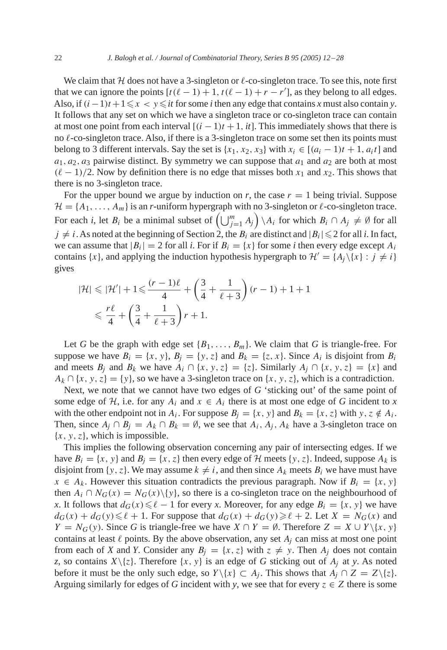We claim that  $H$  does not have a 3-singleton or  $\ell$ -co-singleton trace. To see this, note first that we can ignore the points  $[t(\ell-1)+1, t(\ell-1)+r-r']$ , as they belong to all edges. Also, if  $(i-1)t + 1 \leq x < y \leq it$  for some *i* then any edge that contains *x* must also contain *y*. It follows that any set on which we have a singleton trace or co-singleton trace can contain at most one point from each interval  $[(i - 1)t + 1, it]$ . This immediately shows that there is no  $\ell$ -co-singleton trace. Also, if there is a 3-singleton trace on some set then its points must belong to 3 different intervals. Say the set is  $\{x_1, x_2, x_3\}$  with  $x_i \in [(a_i - 1)t + 1, a_i t]$  and  $a_1, a_2, a_3$  pairwise distinct. By symmetry we can suppose that  $a_1$  and  $a_2$  are both at most  $(\ell - 1)/2$ . Now by definition there is no edge that misses both  $x_1$  and  $x_2$ . This shows that there is no 3-singleton trace.

For the upper bound we argue by induction on *r*, the case  $r = 1$  being trivial. Suppose  $\mathcal{H} = \{A_1, \ldots, A_m\}$  is an *r*-uniform hypergraph with no 3-singleton or  $\ell$ -co-singleton trace. For each *i*, let  $B_i$  be a minimal subset of  $\left(\bigcup_{j=1}^m A_j\right) \setminus A_i$  for which  $B_i \cap A_j \neq \emptyset$  for all  $j \neq i$ . As noted at the beginning of Section 2, the  $B_i$  are distinct and  $|B_i| \leq 2$  for all *i*. In fact, we can assume that  $|B_i| = 2$  for all *i*. For if  $B_i = \{x\}$  for some *i* then every edge except  $A_i$ contains {x}, and applying the induction hypothesis hypergraph to  $\mathcal{H}' = \{A_i \setminus \{x\} : j \neq i\}$ gives

$$
|\mathcal{H}| \le |\mathcal{H}'| + 1 \le \frac{(r-1)\ell}{4} + \left(\frac{3}{4} + \frac{1}{\ell+3}\right)(r-1) + 1 + 1
$$
  

$$
\le \frac{r\ell}{4} + \left(\frac{3}{4} + \frac{1}{\ell+3}\right)r + 1.
$$

Let *G* be the graph with edge set  $\{B_1, \ldots, B_m\}$ . We claim that *G* is triangle-free. For suppose we have  $B_i = \{x, y\}, B_j = \{y, z\}$  and  $B_k = \{z, x\}$ . Since  $A_i$  is disjoint from  $B_i$ and meets  $B_j$  and  $B_k$  we have  $A_i \cap \{x, y, z\} = \{z\}$ . Similarly  $A_j \cap \{x, y, z\} = \{x\}$  and  $A_k \cap \{x, y, z\} = \{y\}$ , so we have a 3-singleton trace on  $\{x, y, z\}$ , which is a contradiction.

Next, we note that we cannot have two edges of *G* 'sticking out' of the same point of some edge of  $H$ , i.e. for any  $A_i$  and  $x \in A_i$  there is at most one edge of G incident to x with the other endpoint not in  $A_i$ . For suppose  $B_j = \{x, y\}$  and  $B_k = \{x, z\}$  with  $y, z \notin A_i$ . Then, since  $A_i \cap B_i = A_k \cap B_k = \emptyset$ , we see that  $A_i$ ,  $A_i$ ,  $A_k$  have a 3-singleton trace on  $\{x, y, z\}$ , which is impossible.

This implies the following observation concerning any pair of intersecting edges.If we have  $B_i = \{x, y\}$  and  $B_i = \{x, z\}$  then every edge of H meets  $\{y, z\}$ . Indeed, suppose  $A_k$  is disjoint from {*y*, *z*}. We may assume  $k \neq i$ , and then since  $A_k$  meets  $B_i$  we have must have  $x \in A_k$ . However this situation contradicts the previous paragraph. Now if  $B_i = \{x, y\}$ then  $A_i \cap N_G(x) = N_G(x) \{y\}$ , so there is a co-singleton trace on the neighbourhood of *x*. It follows that  $d_G(x) \leq \ell - 1$  for every *x*. Moreover, for any edge  $B_i = \{x, y\}$  we have  $d_G(x) + d_G(y) \le \ell + 1$ . For suppose that  $d_G(x) + d_G(y) \ge \ell + 2$ . Let  $X = N_G(x)$  and  $Y = N_G(y)$ . Since G is triangle-free we have  $X \cap Y = \emptyset$ . Therefore  $Z = X \cup Y \setminus \{x, y\}$ contains at least  $\ell$  points. By the above observation, any set  $A_i$  can miss at most one point from each of *X* and *Y*. Consider any  $B_i = \{x, z\}$  with  $z \neq y$ . Then  $A_i$  does not contain *z*, so contains  $X\setminus\{z\}$ . Therefore  $\{x, y\}$  is an edge of *G* sticking out of  $A_j$  at *y*. As noted before it must be the only such edge, so  $Y \setminus \{x\} \subset A_i$ . This shows that  $A_i \cap Z = Z \setminus \{z\}.$ Arguing similarly for edges of *G* incident with *y*, we see that for every  $z \in Z$  there is some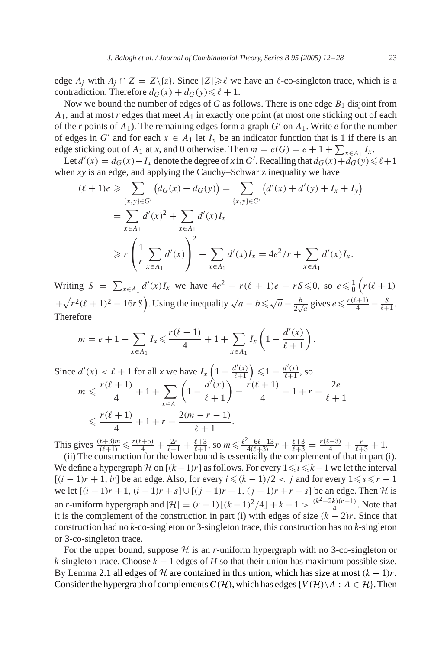edge  $A_j$  with  $A_j \cap Z = Z \setminus \{z\}$ . Since  $|Z| \geq \ell$  we have an  $\ell$ -co-singleton trace, which is a contradiction. Therefore  $d_G(x) + d_G(y) \leq \ell + 1$ .

Now we bound the number of edges of  $G$  as follows. There is one edge  $B_1$  disjoint from  $A_1$ , and at most *r* edges that meet  $A_1$  in exactly one point (at most one sticking out of each of the *r* points of  $A_1$ ). The remaining edges form a graph  $G'$  on  $A_1$ . Write *e* for the number of edges in G' and for each  $x \in A_1$  let  $I_x$  be an indicator function that is 1 if there is an edge sticking out of  $A_1$  at *x*, and 0 otherwise. Then  $m = e(G) = e + 1 + \sum_{x \in A_1} I_x$ .

Let  $d'(x) = d_G(x) - I_x$  denote the degree of x in G'. Recalling that  $d_G(x) + d_G(y) \le \ell + 1$ when *xy* is an edge, and applying the Cauchy–Schwartz inequality we have

$$
(\ell + 1)e \ge \sum_{\{x,y\} \in G'} (d_G(x) + d_G(y)) = \sum_{\{x,y\} \in G'} (d'(x) + d'(y) + I_x + I_y)
$$
  
=  $\sum_{x \in A_1} d'(x)^2 + \sum_{x \in A_1} d'(x)I_x$   

$$
\ge r \left(\frac{1}{r} \sum_{x \in A_1} d'(x)\right)^2 + \sum_{x \in A_1} d'(x)I_x = 4e^2/r + \sum_{x \in A_1} d'(x)I_x.
$$

Writing  $S = \sum_{x \in A_1} d'(x)I_x$  we have  $4e^2 - r(\ell + 1)e + rS \le 0$ , so  $e \le \frac{1}{8} (r(\ell + 1))$  $+\sqrt{r^2(\ell+1)^2-16rS}$ . Using the inequality  $\sqrt{a-b} \le \sqrt{a} - \frac{b}{2\sqrt{a}}$  gives  $e \le \frac{r(\ell+1)}{4} - \frac{S}{\ell+1}$ . Therefore

$$
m = e + 1 + \sum_{x \in A_1} I_x \leqslant \frac{r(\ell+1)}{4} + 1 + \sum_{x \in A_1} I_x \left(1 - \frac{d'(x)}{\ell+1}\right).
$$

Since 
$$
d'(x) < \ell + 1
$$
 for all  $x$  we have  $I_x \left(1 - \frac{d'(x)}{\ell+1}\right) \leq 1 - \frac{d'(x)}{\ell+1}$ , so  
\n
$$
m \leq \frac{r(\ell+1)}{4} + 1 + \sum_{x \in A_1} \left(1 - \frac{d'(x)}{\ell+1}\right) = \frac{r(\ell+1)}{4} + 1 + r - \frac{2e}{\ell+1}
$$
\n
$$
\leq \frac{r(\ell+1)}{4} + 1 + r - \frac{2(m-r-1)}{\ell+1}.
$$

This gives  $\frac{(\ell+3)m}{(\ell+1)} \le \frac{r(\ell+5)}{4} + \frac{2r}{\ell+1} + \frac{\ell+3}{\ell+1}$ , so  $m \le \frac{\ell^2 + 6\ell + 13}{4(\ell+3)}r + \frac{\ell+3}{\ell+3} = \frac{r(\ell+3)}{4} + \frac{r}{\ell+3} + 1$ .

(ii) The construction for the lower bound is essentially the complement of that in part (i). We define a hypergraph H on  $[(k-1)r]$  as follows. For every  $1 \le i \le k-1$  we let the interval  $[(i - 1)r + 1, ir]$  be an edge. Also, for every  $i \leq (k - 1)/2 < j$  and for every  $1 \leq s \leq r - 1$ we let  $[(i-1)r+1, (i-1)r+s] \cup [(j-1)r+1, (j-1)r+r-s]$  be an edge. Then H is an *r*-uniform hypergraph and  $|\mathcal{H}| = (r - 1) \lfloor (k - 1)^2/4 \rfloor + k - 1 > \frac{(k^2 - 2k)(r - 1)}{4}$ . Note that it is the complement of the construction in part (i) with edges of size  $(k - 2)r$ . Since that construction had no *k*-co-singleton or 3-singleton trace, this construction has no *k*-singleton or 3-co-singleton trace.

For the upper bound, suppose  $H$  is an *r*-uniform hypergraph with no 3-co-singleton or *k*-singleton trace. Choose  $k - 1$  edges of *H* so that their union has maximum possible size. By Lemma [2.1](#page-5-0) all edges of H are contained in this union, which has size at most  $(k - 1)r$ . Consider the hypergraph of complements  $C(\mathcal{H})$ , which has edges  $\{V(\mathcal{H})\setminus A : A \in \mathcal{H}\}\$ . Then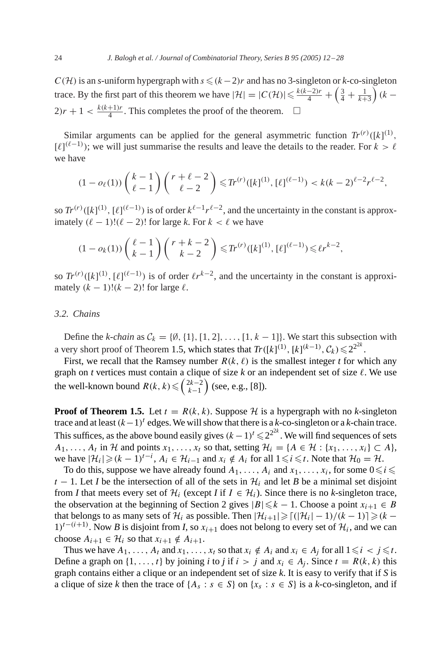$C(\mathcal{H})$  is an *s*-uniform hypergraph with  $s \leq (k-2)r$  and has no 3-singleton or *k*-co-singleton trace. By the first part of this theorem we have  $|\mathcal{H}| = |C(\mathcal{H})| \le \frac{k(k-2)r}{4} + \left(\frac{3}{4} + \frac{1}{k+3}\right)(k-1)$  $2)r + 1 < \frac{k(k+1)r}{4}$ . This completes the proof of the theorem.  $\Box$ 

Similar arguments can be applied for the general asymmetric function  $Tr^{(r)}([k]^{(1)},$  $[\ell]^{(\ell-1)}$ ; we will just summarise the results and leave the details to the reader. For  $k > \ell$ we have

$$
(1 - o_{\ell}(1))\binom{k-1}{\ell-1}\binom{r+\ell-2}{\ell-2} \leqslant Tr^{(r)}([k]^{(1)}, [\ell]^{(\ell-1)}) < k(k-2)^{\ell-2}r^{\ell-2},
$$

so  $Tr^{(r)}([k]^{(1)}, [\ell]^{(\ell-1)})$  is of order  $k^{\ell-1}r^{\ell-2}$ , and the uncertainty in the constant is approximately  $(\ell - 1)!(\ell - 2)!$  for large k. For  $k < \ell$  we have

$$
(1 - o_k(1))\binom{\ell - 1}{k - 1}\binom{r + k - 2}{k - 2} \le T r^{(r)}([k]^{(1)}, [\ell]^{(\ell - 1)}) \le \ell r^{k - 2},
$$

so  $Tr^{(r)}([k]^{(1)}, [\ell]^{(\ell-1)})$  is of order  $\ell r^{k-2}$ , and the uncertainty in the constant is approximately  $(k - 1)!(k - 2)!$  for large  $\ell$ .

### *3.2. Chains*

Define the *k-chain* as  $C_k = \{0, \{1\}, [1, 2], \ldots, [1, k-1]\}$ . We start this subsection with a very short proof of Theorem [1.5,](#page-3-0) which states that  $Tr([k]^{(1)}, [k]^{(k-1)}, C_k) \leq 2^{2^{2k}}$ .

First, we recall that the Ramsey number  $R(k, \ell)$  is the smallest integer *t* for which any graph on *t* vertices must contain a clique of size  $k$  or an independent set of size  $\ell$ . We use the well-known bound  $R(k, k) \leq \binom{2k-2}{k-1}$  (see, e.g., [\[8\]\)](#page-15-0).

**Proof of Theorem [1.5.](#page-3-0)** Let  $t = R(k, k)$ . Suppose H is a hypergraph with no k-singleton trace and at least  $(k-1)^t$  edges. We will show that there is a *k*-co-singleton or a *k*-chain trace. This suffices, as the above bound easily gives  $(k-1)^t \leq 2^{2k}$ . We will find sequences of sets  $A_1, \ldots, A_t$  in H and points  $x_1, \ldots, x_t$  so that, setting  $\mathcal{H}_i = \{A \in \mathcal{H} : \{x_1, \ldots, x_i\} \subset A\}$ , we have  $|\mathcal{H}_i| \geqslant (k-1)^{t-i}$ ,  $A_i \in \mathcal{H}_{i-1}$  and  $x_i \notin A_i$  for all  $1 \leqslant i \leqslant t$ . Note that  $\mathcal{H}_0 = \mathcal{H}$ .

To do this, suppose we have already found  $A_1, \ldots, A_i$  and  $x_1, \ldots, x_i$ , for some  $0 \le i \le i$  $t - 1$ . Let *I* be the intersection of all of the sets in  $H_i$  and let *B* be a minimal set disjoint from *I* that meets every set of  $\mathcal{H}_i$  (except *I* if  $I \in \mathcal{H}_i$ ). Since there is no *k*-singleton trace, the observation at the beginning of Section 2 gives  $|B| \le k - 1$ . Choose a point  $x_{i+1} \in B$ that belongs to as many sets of  $\mathcal{H}_i$  as possible. Then  $|\mathcal{H}_{i+1}| \geqslant \lceil (|\mathcal{H}_i| - 1)/(k - 1) \rceil \geqslant (k - 1)$  $1$ <sup>t−(i+1)</sup>. Now *B* is disjoint from *I*, so  $x_{i+1}$  does not belong to every set of  $\mathcal{H}_i$ , and we can choose  $A_{i+1} \in \mathcal{H}_i$  so that  $x_{i+1} \notin A_{i+1}$ .

Thus we have  $A_1, \ldots, A_t$  and  $x_1, \ldots, x_t$  so that  $x_i \notin A_i$  and  $x_i \in A_j$  for all  $1 \leq i \leq j \leq t$ . Define a graph on  $\{1, \ldots, t\}$  by joining *i* to *j* if  $i > j$  and  $x_i \in A_j$ . Since  $t = R(k, k)$  this graph contains either a clique or an independent set of size *k*.It is easy to verify that if *S* is a clique of size *k* then the trace of  $\{A_s : s \in S\}$  on  $\{x_s : s \in S\}$  is a *k*-co-singleton, and if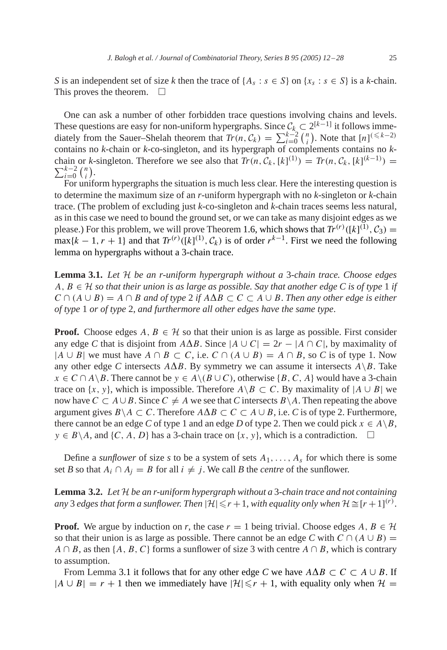<span id="page-13-0"></span>*S* is an independent set of size *k* then the trace of  $\{A_s : s \in S\}$  on  $\{x_s : s \in S\}$  is a *k*-chain. This proves the theorem.  $\Box$ 

One can ask a number of other forbidden trace questions involving chains and levels. These questions are easy for non-uniform hypergraphs. Since  $C_k \subset 2^{[k-1]}$  it follows immediately from the Sauer–Shelah theorem that  $Tr(n, C_k) = \sum_{i=0}^{k-2} {n \choose i}$  $\binom{n}{i}$ . Note that  $\lfloor n \rfloor^{(\leq k-2)}$ contains no *k*-chain or *k*-co-singleton, and its hypergraph of complements contains no *k*chain or *k*-singleton. Therefore we see also that  $Tr(n, C_k, [k]^{(1)}) = Tr(n, C_k, [k]^{(k-1)}) = \sum_{k=0}^{k-2} {n \choose k}$  $\sum_{i=0}^{k-2}$   $\binom{n}{i}$  $\binom{n}{i}$ .

For uniform hypergraphs the situation is much less clear.Here the interesting question is to determine the maximum size of an *r*-uniform hypergraph with no *k*-singleton or *k*-chain trace.(The problem of excluding just *k*-co-singleton and *k*-chain traces seems less natural, as in this case we need to bound the ground set, or we can take as many disjoint edges as we please.) For this problem, we will prove Theorem [1.6,](#page-4-0) which shows that  $Tr^{(r)}([k]^{(1)}, \mathcal{C}_3) =$  $\max\{k-1, r+1\}$  and that  $Tr^{(r)}([k]^{(1)}, C_k)$  is of order  $r^{k-1}$ . First we need the following lemma on hypergraphs without a 3-chain trace.

**Lemma 3.1.** *Let* H *be an r-uniform hypergraph without a* 3-*chain trace. Choose edges*  $A, B \in \mathcal{H}$  *so that their union is as large as possible. Say that another edge C is of type* 1 *if*  $C \cap (A \cup B) = A \cap B$  *and of type* 2 *if*  $A \Delta B \subset C \subset A \cup B$ . *Then any other edge is either of type* 1 *or of type* 2, *and furthermore all other edges have the same type*.

**Proof.** Choose edges  $A, B \in \mathcal{H}$  so that their union is as large as possible. First consider any edge *C* that is disjoint from  $A\Delta B$ . Since  $|A \cup C| = 2r - |A \cap C|$ , by maximality of  $|A \cup B|$  we must have  $A \cap B \subset C$ , i.e.  $C \cap (A \cup B) = A \cap B$ , so C is of type 1. Now any other edge C intersects  $A\Delta B$ . By symmetry we can assume it intersects  $A\Bra B$ . Take  $x \in C \cap A \setminus B$ . There cannot be  $y \in A \setminus (B \cup C)$ , otherwise {B, C, A} would have a 3-chain trace on  $\{x, y\}$ , which is impossible. Therefore  $A \setminus B \subset C$ . By maximality of  $|A \cup B|$  we now have  $C \subset A \cup B$ . Since  $C \neq A$  we see that *C* intersects  $B \setminus A$ . Then repeating the above argument gives  $B \setminus A \subset C$ . Therefore  $A \Delta B \subset C \subset A \cup B$ , i.e. *C* is of type 2. Furthermore, there cannot be an edge *C* of type 1 and an edge *D* of type 2. Then we could pick  $x \in A \backslash B$ ,  $y \in B \setminus A$ , and  $\{C, A, D\}$  has a 3-chain trace on  $\{x, y\}$ , which is a contradiction.  $\square$ 

Define a *sunflower* of size *s* to be a system of sets  $A_1, \ldots, A_s$  for which there is some set *B* so that  $A_i \cap A_j = B$  for all  $i \neq j$ . We call *B* the *centre* of the sunflower.

**Lemma 3.2.** *Let* H *be an r-uniform hypergraph without a* 3-*chain trace and not containing any* 3 *edges that form a sunflower. Then*  $|\mathcal{H}| \le r + 1$ , *with equality only when*  $\mathcal{H} \cong [r + 1]^{(r)}$ .

**Proof.** We argue by induction on *r*, the case  $r = 1$  being trivial. Choose edges  $A, B \in \mathcal{H}$ so that their union is as large as possible. There cannot be an edge *C* with  $C \cap (A \cup B) =$  $A \cap B$ , as then {A, B, C} forms a sunflower of size 3 with centre  $A \cap B$ , which is contrary to assumption.

From Lemma 3.1 it follows that for any other edge *C* we have  $A\Delta B \subset C \subset A \cup B$ . If  $|A \cup B| = r + 1$  then we immediately have  $|H| \le r + 1$ , with equality only when  $H =$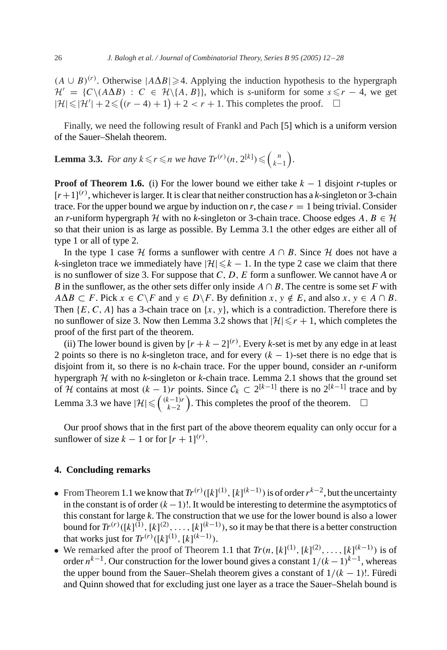$(A \cup B)^{(r)}$ . Otherwise  $|A \Delta B| \ge 4$ . Applying the induction hypothesis to the hypergraph  $\mathcal{H}' = \{C \setminus (A \Delta B) : C \in \mathcal{H} \setminus \{A, B\} \}$ , which is *s*-uniform for some  $s \leq r - 4$ , we get  $|\mathcal{H}| \le |\mathcal{H}'| + 2 \le ((r-4) + 1) + 2 < r + 1$ . This completes the proof.  $\square$ 

Finally, we need the following result of Frankl and Pach [\[5\]](#page-15-0) which is a uniform version of the Sauer–Shelah theorem.

**Lemma 3.3.** *For any*  $k \le r \le n$  *we have*  $Tr^{(r)}(n, 2^{[k]}) \le {n \choose k-1}$ .

**Proof of Theorem [1.6.](#page-4-0)** (i) For the lower bound we either take  $k - 1$  disjoint *r*-tuples or  $[r+1]^{(r)}$ , whichever is larger. It is clear that neither construction has a *k*-singleton or 3-chain trace. For the upper bound we argue by induction on *r*, the case  $r = 1$  being trivial. Consider an *r*-uniform hypergraph H with no *k*-singleton or 3-chain trace. Choose edges  $A, B \in \mathcal{H}$ so that their union is as large as possible.By Lemma [3.1](#page-13-0) the other edges are either all of type 1 or all of type 2.

In the type 1 case H forms a sunflower with centre  $A \cap B$ . Since H does not have a *k*-singleton trace we immediately have  $|\mathcal{H}| \leq k - 1$ . In the type 2 case we claim that there is no sunflower of size 3.For suppose that C, D, E form a sunflower.We cannot have *A* or *B* in the sunflower, as the other sets differ only inside  $A \cap B$ . The centre is some set *F* with  $A \Delta B \subset F$ . Pick  $x \in C \backslash F$  and  $y \in D \backslash F$ . By definition  $x, y \notin E$ , and also  $x, y \in A \cap B$ . Then  $\{E, C, A\}$  has a 3-chain trace on  $\{x, y\}$ , which is a contradiction. Therefore there is no sunflower of size 3. Now then Lemma [3.2](#page-13-0) shows that  $|\mathcal{H}| \le r + 1$ , which completes the proof of the first part of the theorem.

(ii) The lower bound is given by  $[r + k - 2]^{(r)}$ . Every *k*-set is met by any edge in at least 2 points so there is no *k*-singleton trace, and for every  $(k - 1)$ -set there is no edge that is disjoint from it, so there is no *k*-chain trace.For the upper bound, consider an *r*-uniform hypergraph  $H$  with no  $k$ -singleton or  $k$ -chain trace. Lemma [2.1](#page-5-0) shows that the ground set of H contains at most  $(k - 1)r$  points. Since  $C_k \subset 2^{[k-1]}$  there is no  $2^{[k-1]}$  trace and by Lemma 3.3 we have  $|\mathcal{H}| \leq \binom{(k-1)r}{k-2}$ . This completes the proof of the theorem.  $\Box$ 

Our proof shows that in the first part of the above theorem equality can only occur for a sunflower of size  $k-1$  or for  $[r+1]^{(r)}$ .

# **4. Concluding remarks**

- From Theorem [1.1](#page-2-0) we know that  $Tr^{(r)}([k]^{(1)}, [k]^{(k-1)})$  is of order  $r^{k-2}$ , but the uncertainty in the constant is of order  $(k-1)!$ . It would be interesting to determine the asymptotics of this constant for large *k*.The construction that we use for the lower bound is also a lower bound for  $Tr^{(r)}([k]^{(1)}, [k]^{(2)}, \ldots, [k]^{(k-1)})$ , so it may be that there is a better construction that works just for  $Tr^{(r)}([k]^{(1)}, [k]^{(k-1)})$ .
- We remarked after the proof of Theorem [1.1](#page-2-0) that  $Tr(n, [k]^{(1)}, [k]^{(2)}, \ldots, [k]^{(k-1)})$  is of order  $n^{k-1}$ . Our construction for the lower bound gives a constant  $1/(k-1)^{k-1}$ , whereas the upper bound from the Sauer–Shelah theorem gives a constant of  $1/(k - 1)!$ . Füredi and Quinn showed that for excluding just one layer as a trace the Sauer–Shelah bound is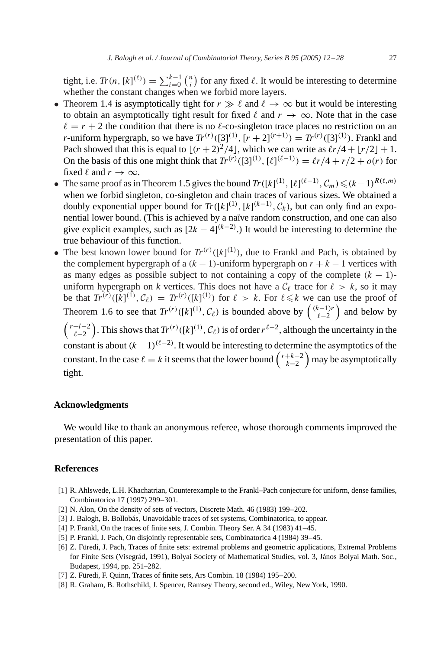<span id="page-15-0"></span>tight, i.e.  $Tr(n, [k]^{(\ell)}) = \sum_{i=0}^{k-1} {n \choose i}$  $\binom{n}{i}$  for any fixed  $\ell$ . It would be interesting to determine whether the constant changes when we forbid more layers.

- Theorem [1.4](#page-3-0) is asymptotically tight for  $r \gg \ell$  and  $\ell \to \infty$  but it would be interesting to obtain an asymptotically tight result for fixed  $\ell$  and  $r \to \infty$ . Note that in the case  $\ell = r + 2$  the condition that there is no  $\ell$ -co-singleton trace places no restriction on an *r*-uniform hypergraph, so we have  $Tr^{(r)}([3]^{(1)}, [r+2]^{(r+1)}) = Tr^{(r)}([3]^{(1)})$ . Frankl and Pach showed that this is equal to  $\lfloor (r + 2)^2/4 \rfloor$ , which we can write as  $\ell r/4 + \lfloor r/2 \rfloor + 1$ . On the basis of this one might think that  $Tr^{(r)}([3]^{(1)}, [\ell]^{(\ell-1)}) = \ell r/4 + r/2 + o(r)$  for fixed  $\ell$  and  $r \to \infty$ .
- The same proof as in Theorem [1.5](#page-3-0) gives the bound  $Tr([k]^{(1)}, [\ell]^{(\ell-1)}, C_m) \leq (k-1)^{R(\ell,m)}$ when we forbid singleton, co-singleton and chain traces of various sizes. We obtained a doubly exponential upper bound for  $Tr([k]^{(1)}, [k]^{(k-1)}, C_k)$ , but can only find an exponential lower bound.(This is achieved by a naïve random construction, and one can also give explicit examples, such as  $[2k-4]^{(k-2)}$ .) It would be interesting to determine the true behaviour of this function.
- The best known lower bound for  $Tr^{(r)}([k]^{(1)})$ , due to Frankl and Pach, is obtained by the complement hypergraph of a  $(k - 1)$ -uniform hypergraph on  $r + k - 1$  vertices with as many edges as possible subject to not containing a copy of the complete  $(k - 1)$ uniform hypergraph on *k* vertices. This does not have a  $C_{\ell}$  trace for  $\ell > k$ , so it may be that  $Tr^{(r)}([k]^{(1)}, C_{\ell}) = Tr^{(r)}([k]^{(1)})$  for  $\ell > k$ . For  $\ell \leq k$  we can use the proof of Theorem [1.6](#page-4-0) to see that  $Tr^{(r)}([k]^{(1)}, \mathcal{C}_\ell)$  is bounded above by  $\binom{(k-1)r}{\ell-2}$  and below by  $\binom{r+l-2}{\ell-2}$ . This shows that  $Tr^{(r)}([k]^{(1)}, C_{\ell})$  is of order  $r^{\ell-2}$ , although the uncertainty in the constant is about  $(k-1)^{(\ell-2)}$ . It would be interesting to determine the asymptotics of the constant. In the case  $\ell = k$  it seems that the lower bound  $\binom{r+k-2}{k-2}$  may be asymptotically tight.

## **Acknowledgments**

We would like to thank an anonymous referee, whose thorough comments improved the presentation of this paper.

## **References**

- [1] R.Ahlswede, L.H.Khachatrian, Counterexample to the Frankl–Pach conjecture for uniform, dense families, Combinatorica 17 (1997) 299–301.
- [2] N. Alon, On the density of sets of vectors, Discrete Math. 46 (1983) 199-202.
- [3] J. Balogh, B. Bollobás, Unavoidable traces of set systems, Combinatorica, to appear.
- [4] P.Frankl, On the traces of finite sets, J.Combin.Theory Ser.A 34 (1983) 41–45.
- [5] P. Frankl, J. Pach, On disjointly representable sets, Combinatorica 4 (1984) 39–45.
- [6] Z.Füredi, J.Pach, Traces of finite sets: extremal problems and geometric applications, Extremal Problems for Finite Sets (Visegrád, 1991), Bolyai Society of Mathematical Studies, vol. 3, János Bolyai Math. Soc., Budapest, 1994, pp.251–282.
- [7] Z.Füredi, F.Quinn, Traces of finite sets, Ars Combin.18 (1984) 195–200.
- [8] R. Graham, B. Rothschild, J. Spencer, Ramsey Theory, second ed., Wiley, New York, 1990.